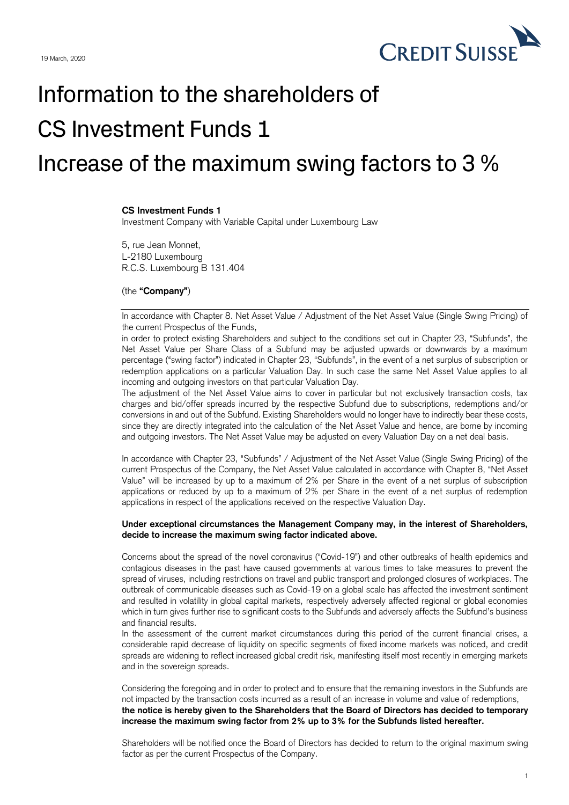

## Information to the shareholders of CS Investment Funds 1 Increase of the maximum swing factors to 3 %

## **CS Investment Funds 1**

Investment Company with Variable Capital under Luxembourg Law

5, rue Jean Monnet, L-2180 Luxembourg R.C.S. Luxembourg B 131.404

## (the **"Company"**)

In accordance with Chapter 8. Net Asset Value / Adjustment of the Net Asset Value (Single Swing Pricing) of the current Prospectus of the Funds,

in order to protect existing Shareholders and subject to the conditions set out in Chapter 23, "Subfunds", the Net Asset Value per Share Class of a Subfund may be adjusted upwards or downwards by a maximum percentage ("swing factor") indicated in Chapter 23, "Subfunds", in the event of a net surplus of subscription or redemption applications on a particular Valuation Day. In such case the same Net Asset Value applies to all incoming and outgoing investors on that particular Valuation Day.

The adjustment of the Net Asset Value aims to cover in particular but not exclusively transaction costs, tax charges and bid/offer spreads incurred by the respective Subfund due to subscriptions, redemptions and/or conversions in and out of the Subfund. Existing Shareholders would no longer have to indirectly bear these costs, since they are directly integrated into the calculation of the Net Asset Value and hence, are borne by incoming and outgoing investors. The Net Asset Value may be adjusted on every Valuation Day on a net deal basis.

In accordance with Chapter 23, "Subfunds" / Adjustment of the Net Asset Value (Single Swing Pricing) of the current Prospectus of the Company, the Net Asset Value calculated in accordance with Chapter 8, "Net Asset Value" will be increased by up to a maximum of 2% per Share in the event of a net surplus of subscription applications or reduced by up to a maximum of 2% per Share in the event of a net surplus of redemption applications in respect of the applications received on the respective Valuation Day.

## **Under exceptional circumstances the Management Company may, in the interest of Shareholders, decide to increase the maximum swing factor indicated above.**

Concerns about the spread of the novel coronavirus ("Covid-19") and other outbreaks of health epidemics and contagious diseases in the past have caused governments at various times to take measures to prevent the spread of viruses, including restrictions on travel and public transport and prolonged closures of workplaces. The outbreak of communicable diseases such as Covid-19 on a global scale has affected the investment sentiment and resulted in volatility in global capital markets, respectively adversely affected regional or global economies which in turn gives further rise to significant costs to the Subfunds and adversely affects the Subfund's business and financial results.

In the assessment of the current market circumstances during this period of the current financial crises, a considerable rapid decrease of liquidity on specific segments of fixed income markets was noticed, and credit spreads are widening to reflect increased global credit risk, manifesting itself most recently in emerging markets and in the sovereign spreads.

Considering the foregoing and in order to protect and to ensure that the remaining investors in the Subfunds are not impacted by the transaction costs incurred as a result of an increase in volume and value of redemptions, **the notice is hereby given to the Shareholders that the Board of Directors has decided to temporary increase the maximum swing factor from 2% up to 3% for the Subfunds listed hereafter.**

Shareholders will be notified once the Board of Directors has decided to return to the original maximum swing factor as per the current Prospectus of the Company.